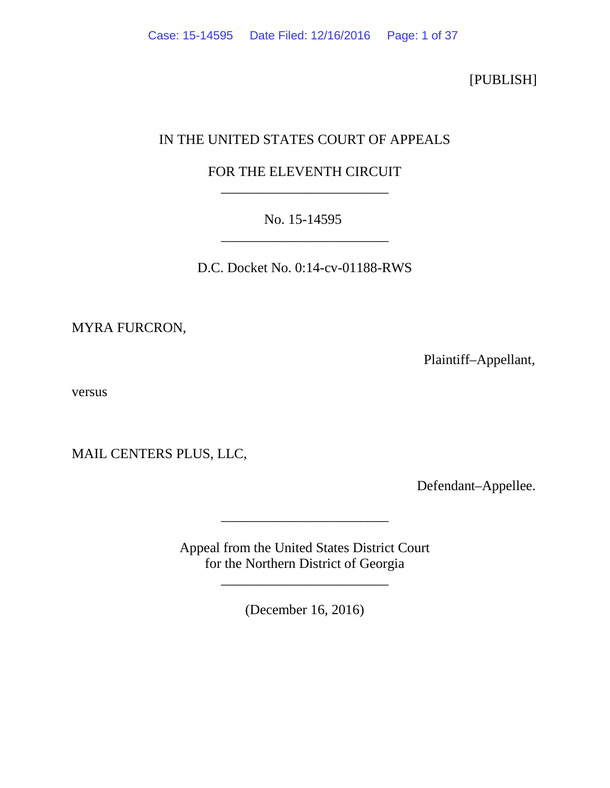[PUBLISH]

# IN THE UNITED STATES COURT OF APPEALS

# FOR THE ELEVENTH CIRCUIT \_\_\_\_\_\_\_\_\_\_\_\_\_\_\_\_\_\_\_\_\_\_\_\_

# No. 15-14595 \_\_\_\_\_\_\_\_\_\_\_\_\_\_\_\_\_\_\_\_\_\_\_\_

D.C. Docket No. 0:14-cv-01188-RWS

MYRA FURCRON,

Plaintiff–Appellant,

versus

MAIL CENTERS PLUS, LLC,

Defendant–Appellee.

Appeal from the United States District Court for the Northern District of Georgia

\_\_\_\_\_\_\_\_\_\_\_\_\_\_\_\_\_\_\_\_\_\_\_\_

\_\_\_\_\_\_\_\_\_\_\_\_\_\_\_\_\_\_\_\_\_\_\_\_

(December 16, 2016)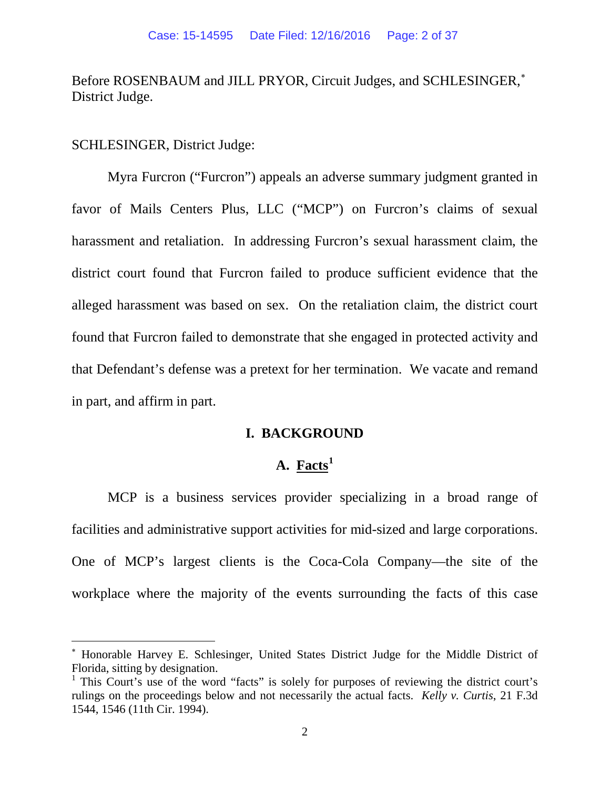# Before ROSENBAUM and JILL PRYOR, Circuit Judges, and SCHLESINGER,<sup>\*</sup> District Judge.

## SCHLESINGER, District Judge:

Myra Furcron ("Furcron") appeals an adverse summary judgment granted in favor of Mails Centers Plus, LLC ("MCP") on Furcron's claims of sexual harassment and retaliation. In addressing Furcron's sexual harassment claim, the district court found that Furcron failed to produce sufficient evidence that the alleged harassment was based on sex. On the retaliation claim, the district court found that Furcron failed to demonstrate that she engaged in protected activity and that Defendant's defense was a pretext for her termination. We vacate and remand in part, and affirm in part.

# **I. BACKGROUND**

# **A. Facts[1](#page-1-1)**

MCP is a business services provider specializing in a broad range of facilities and administrative support activities for mid-sized and large corporations. One of MCP's largest clients is the Coca-Cola Company—the site of the workplace where the majority of the events surrounding the facts of this case

<span id="page-1-0"></span><sup>∗</sup> Honorable Harvey E. Schlesinger, United States District Judge for the Middle District of Florida, sitting by designation.

<span id="page-1-1"></span><sup>&</sup>lt;sup>1</sup> This Court's use of the word "facts" is solely for purposes of reviewing the district court's rulings on the proceedings below and not necessarily the actual facts. *Kelly v. Curtis*, 21 F.3d 1544, 1546 (11th Cir. 1994).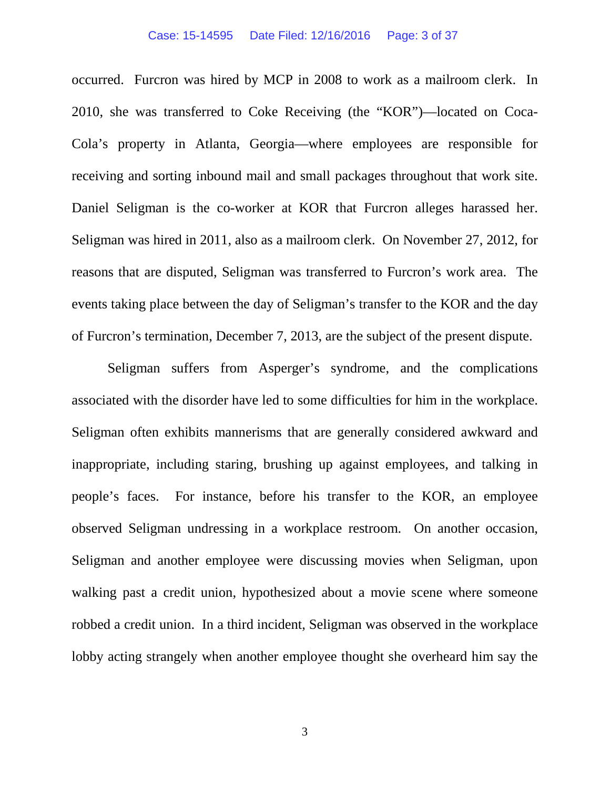#### Case: 15-14595 Date Filed: 12/16/2016 Page: 3 of 37

occurred. Furcron was hired by MCP in 2008 to work as a mailroom clerk. In 2010, she was transferred to Coke Receiving (the "KOR")—located on Coca-Cola's property in Atlanta, Georgia—where employees are responsible for receiving and sorting inbound mail and small packages throughout that work site. Daniel Seligman is the co-worker at KOR that Furcron alleges harassed her. Seligman was hired in 2011, also as a mailroom clerk. On November 27, 2012, for reasons that are disputed, Seligman was transferred to Furcron's work area. The events taking place between the day of Seligman's transfer to the KOR and the day of Furcron's termination, December 7, 2013, are the subject of the present dispute.

Seligman suffers from Asperger's syndrome, and the complications associated with the disorder have led to some difficulties for him in the workplace. Seligman often exhibits mannerisms that are generally considered awkward and inappropriate, including staring, brushing up against employees, and talking in people's faces. For instance, before his transfer to the KOR, an employee observed Seligman undressing in a workplace restroom. On another occasion, Seligman and another employee were discussing movies when Seligman, upon walking past a credit union, hypothesized about a movie scene where someone robbed a credit union. In a third incident, Seligman was observed in the workplace lobby acting strangely when another employee thought she overheard him say the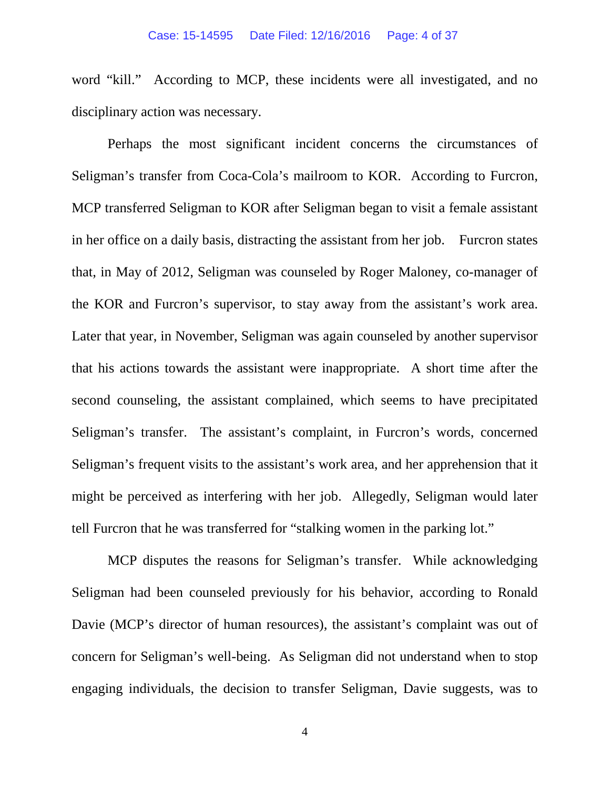word "kill." According to MCP, these incidents were all investigated, and no disciplinary action was necessary.

Perhaps the most significant incident concerns the circumstances of Seligman's transfer from Coca-Cola's mailroom to KOR. According to Furcron, MCP transferred Seligman to KOR after Seligman began to visit a female assistant in her office on a daily basis, distracting the assistant from her job. Furcron states that, in May of 2012, Seligman was counseled by Roger Maloney, co-manager of the KOR and Furcron's supervisor, to stay away from the assistant's work area. Later that year, in November, Seligman was again counseled by another supervisor that his actions towards the assistant were inappropriate. A short time after the second counseling, the assistant complained, which seems to have precipitated Seligman's transfer. The assistant's complaint, in Furcron's words, concerned Seligman's frequent visits to the assistant's work area, and her apprehension that it might be perceived as interfering with her job. Allegedly, Seligman would later tell Furcron that he was transferred for "stalking women in the parking lot."

MCP disputes the reasons for Seligman's transfer. While acknowledging Seligman had been counseled previously for his behavior, according to Ronald Davie (MCP's director of human resources), the assistant's complaint was out of concern for Seligman's well-being. As Seligman did not understand when to stop engaging individuals, the decision to transfer Seligman, Davie suggests, was to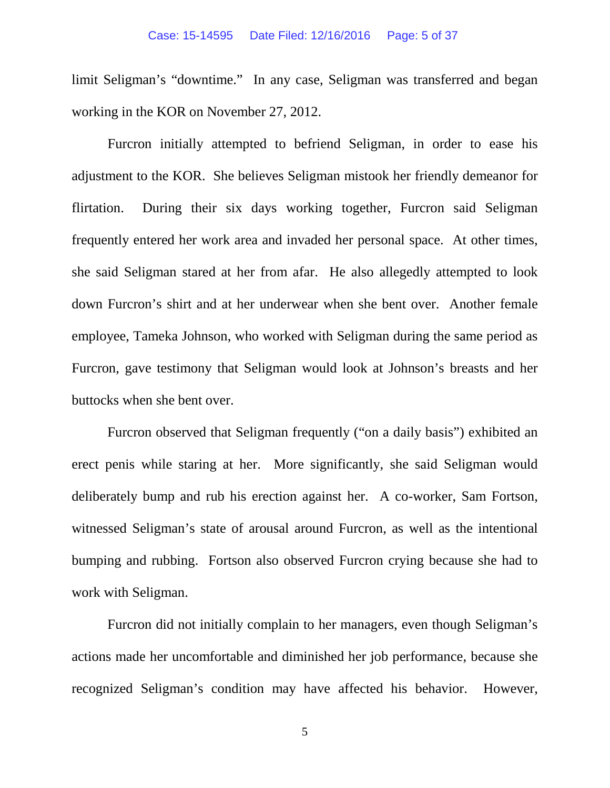limit Seligman's "downtime." In any case, Seligman was transferred and began working in the KOR on November 27, 2012.

Furcron initially attempted to befriend Seligman, in order to ease his adjustment to the KOR. She believes Seligman mistook her friendly demeanor for flirtation. During their six days working together, Furcron said Seligman frequently entered her work area and invaded her personal space. At other times, she said Seligman stared at her from afar. He also allegedly attempted to look down Furcron's shirt and at her underwear when she bent over. Another female employee, Tameka Johnson, who worked with Seligman during the same period as Furcron, gave testimony that Seligman would look at Johnson's breasts and her buttocks when she bent over.

Furcron observed that Seligman frequently ("on a daily basis") exhibited an erect penis while staring at her. More significantly, she said Seligman would deliberately bump and rub his erection against her. A co-worker, Sam Fortson, witnessed Seligman's state of arousal around Furcron, as well as the intentional bumping and rubbing. Fortson also observed Furcron crying because she had to work with Seligman.

Furcron did not initially complain to her managers, even though Seligman's actions made her uncomfortable and diminished her job performance, because she recognized Seligman's condition may have affected his behavior. However,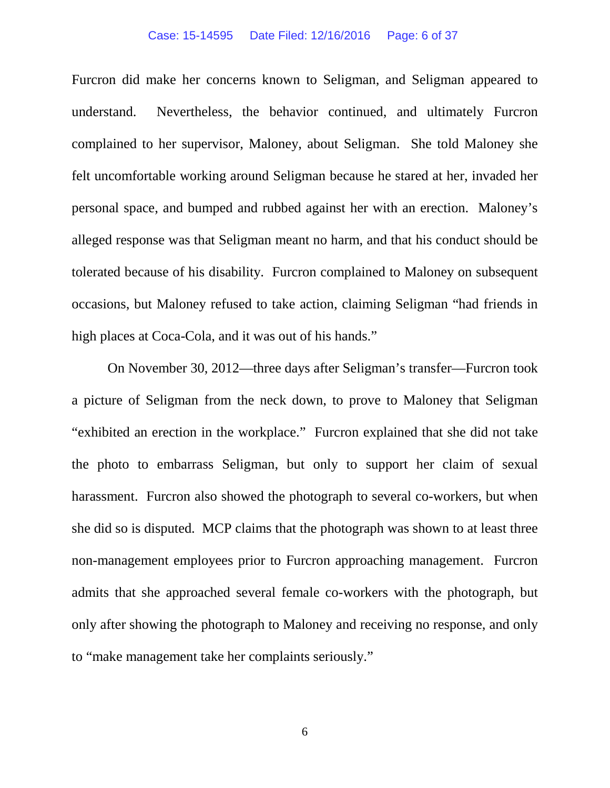### Case: 15-14595 Date Filed: 12/16/2016 Page: 6 of 37

Furcron did make her concerns known to Seligman, and Seligman appeared to understand. Nevertheless, the behavior continued, and ultimately Furcron complained to her supervisor, Maloney, about Seligman. She told Maloney she felt uncomfortable working around Seligman because he stared at her, invaded her personal space, and bumped and rubbed against her with an erection. Maloney's alleged response was that Seligman meant no harm, and that his conduct should be tolerated because of his disability. Furcron complained to Maloney on subsequent occasions, but Maloney refused to take action, claiming Seligman "had friends in high places at Coca-Cola, and it was out of his hands."

On November 30, 2012—three days after Seligman's transfer—Furcron took a picture of Seligman from the neck down, to prove to Maloney that Seligman "exhibited an erection in the workplace." Furcron explained that she did not take the photo to embarrass Seligman, but only to support her claim of sexual harassment. Furcron also showed the photograph to several co-workers, but when she did so is disputed. MCP claims that the photograph was shown to at least three non-management employees prior to Furcron approaching management. Furcron admits that she approached several female co-workers with the photograph, but only after showing the photograph to Maloney and receiving no response, and only to "make management take her complaints seriously."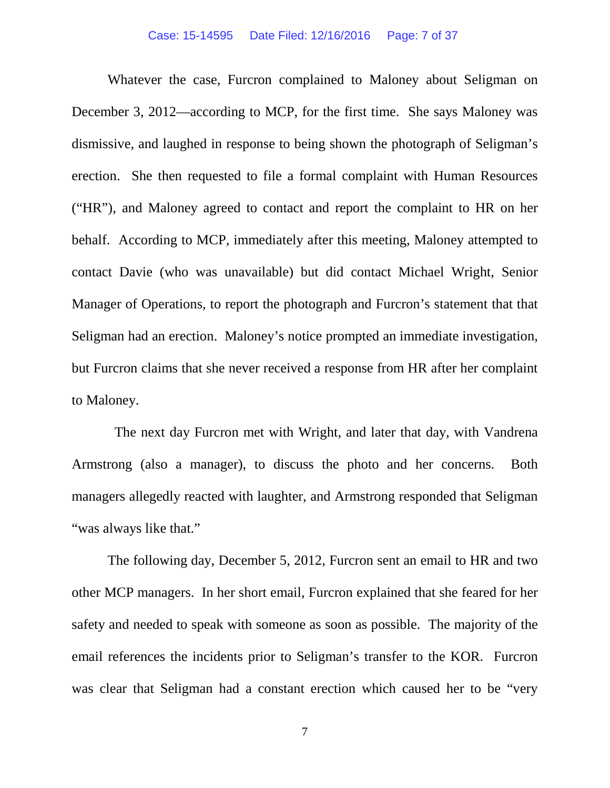## Case: 15-14595 Date Filed: 12/16/2016 Page: 7 of 37

Whatever the case, Furcron complained to Maloney about Seligman on December 3, 2012—according to MCP, for the first time. She says Maloney was dismissive, and laughed in response to being shown the photograph of Seligman's erection. She then requested to file a formal complaint with Human Resources ("HR"), and Maloney agreed to contact and report the complaint to HR on her behalf. According to MCP, immediately after this meeting, Maloney attempted to contact Davie (who was unavailable) but did contact Michael Wright, Senior Manager of Operations, to report the photograph and Furcron's statement that that Seligman had an erection. Maloney's notice prompted an immediate investigation, but Furcron claims that she never received a response from HR after her complaint to Maloney.

 The next day Furcron met with Wright, and later that day, with Vandrena Armstrong (also a manager), to discuss the photo and her concerns. Both managers allegedly reacted with laughter, and Armstrong responded that Seligman "was always like that."

The following day, December 5, 2012, Furcron sent an email to HR and two other MCP managers. In her short email, Furcron explained that she feared for her safety and needed to speak with someone as soon as possible. The majority of the email references the incidents prior to Seligman's transfer to the KOR. Furcron was clear that Seligman had a constant erection which caused her to be "very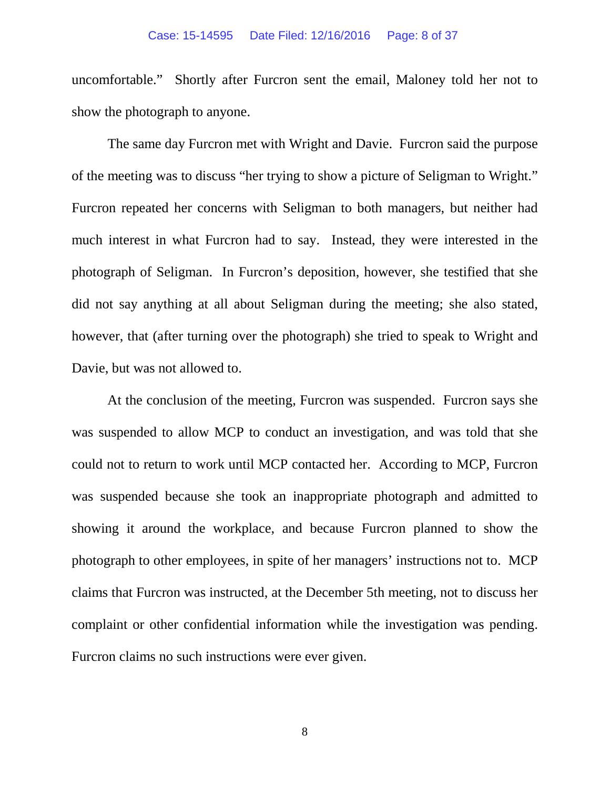### Case: 15-14595 Date Filed: 12/16/2016 Page: 8 of 37

uncomfortable." Shortly after Furcron sent the email, Maloney told her not to show the photograph to anyone.

The same day Furcron met with Wright and Davie. Furcron said the purpose of the meeting was to discuss "her trying to show a picture of Seligman to Wright." Furcron repeated her concerns with Seligman to both managers, but neither had much interest in what Furcron had to say. Instead, they were interested in the photograph of Seligman. In Furcron's deposition, however, she testified that she did not say anything at all about Seligman during the meeting; she also stated, however, that (after turning over the photograph) she tried to speak to Wright and Davie, but was not allowed to.

At the conclusion of the meeting, Furcron was suspended. Furcron says she was suspended to allow MCP to conduct an investigation, and was told that she could not to return to work until MCP contacted her. According to MCP, Furcron was suspended because she took an inappropriate photograph and admitted to showing it around the workplace, and because Furcron planned to show the photograph to other employees, in spite of her managers' instructions not to. MCP claims that Furcron was instructed, at the December 5th meeting, not to discuss her complaint or other confidential information while the investigation was pending. Furcron claims no such instructions were ever given.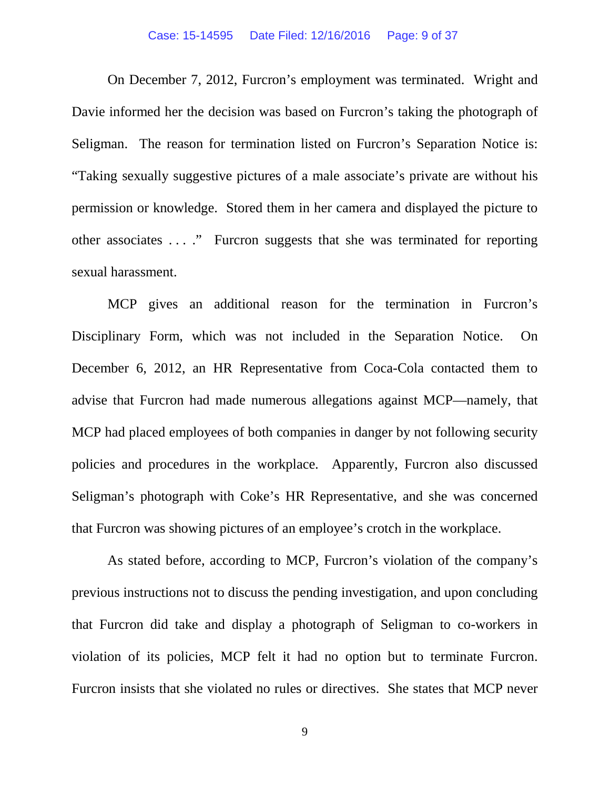On December 7, 2012, Furcron's employment was terminated. Wright and Davie informed her the decision was based on Furcron's taking the photograph of Seligman. The reason for termination listed on Furcron's Separation Notice is: "Taking sexually suggestive pictures of a male associate's private are without his permission or knowledge. Stored them in her camera and displayed the picture to other associates . . . ." Furcron suggests that she was terminated for reporting sexual harassment.

MCP gives an additional reason for the termination in Furcron's Disciplinary Form, which was not included in the Separation Notice. On December 6, 2012, an HR Representative from Coca-Cola contacted them to advise that Furcron had made numerous allegations against MCP—namely, that MCP had placed employees of both companies in danger by not following security policies and procedures in the workplace. Apparently, Furcron also discussed Seligman's photograph with Coke's HR Representative, and she was concerned that Furcron was showing pictures of an employee's crotch in the workplace.

As stated before, according to MCP, Furcron's violation of the company's previous instructions not to discuss the pending investigation, and upon concluding that Furcron did take and display a photograph of Seligman to co-workers in violation of its policies, MCP felt it had no option but to terminate Furcron. Furcron insists that she violated no rules or directives. She states that MCP never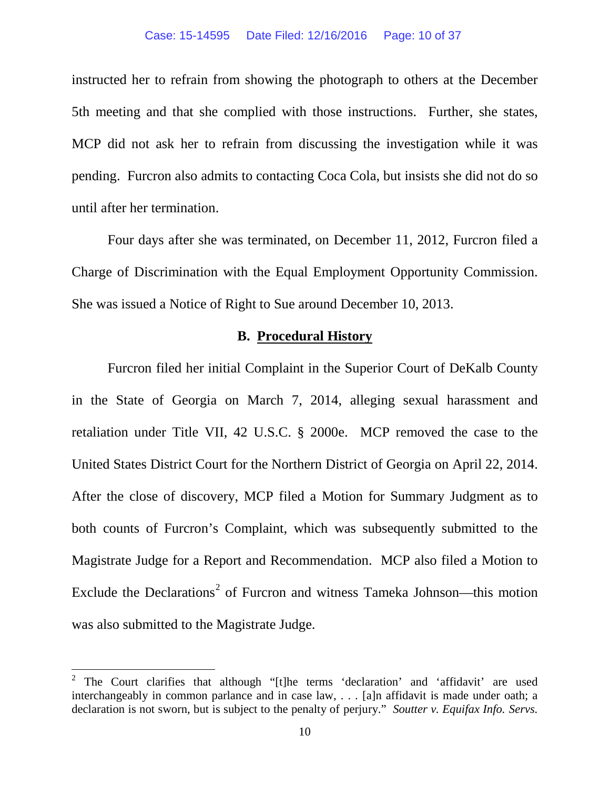instructed her to refrain from showing the photograph to others at the December 5th meeting and that she complied with those instructions. Further, she states, MCP did not ask her to refrain from discussing the investigation while it was pending. Furcron also admits to contacting Coca Cola, but insists she did not do so until after her termination.

Four days after she was terminated, on December 11, 2012, Furcron filed a Charge of Discrimination with the Equal Employment Opportunity Commission. She was issued a Notice of Right to Sue around December 10, 2013.

# **B. Procedural History**

Furcron filed her initial Complaint in the Superior Court of DeKalb County in the State of Georgia on March 7, 2014, alleging sexual harassment and retaliation under Title VII, 42 U.S.C. § 2000e. MCP removed the case to the United States District Court for the Northern District of Georgia on April 22, 2014. After the close of discovery, MCP filed a Motion for Summary Judgment as to both counts of Furcron's Complaint, which was subsequently submitted to the Magistrate Judge for a Report and Recommendation. MCP also filed a Motion to Exclude the Declarations<sup>[2](#page-9-0)</sup> of Furcron and witness Tameka Johnson—this motion was also submitted to the Magistrate Judge.

<span id="page-9-0"></span><sup>&</sup>lt;sup>2</sup> The Court clarifies that although "[t]he terms 'declaration' and 'affidavit' are used interchangeably in common parlance and in case law, . . . [a]n affidavit is made under oath; a declaration is not sworn, but is subject to the penalty of perjury." *Soutter v. Equifax Info. Servs.*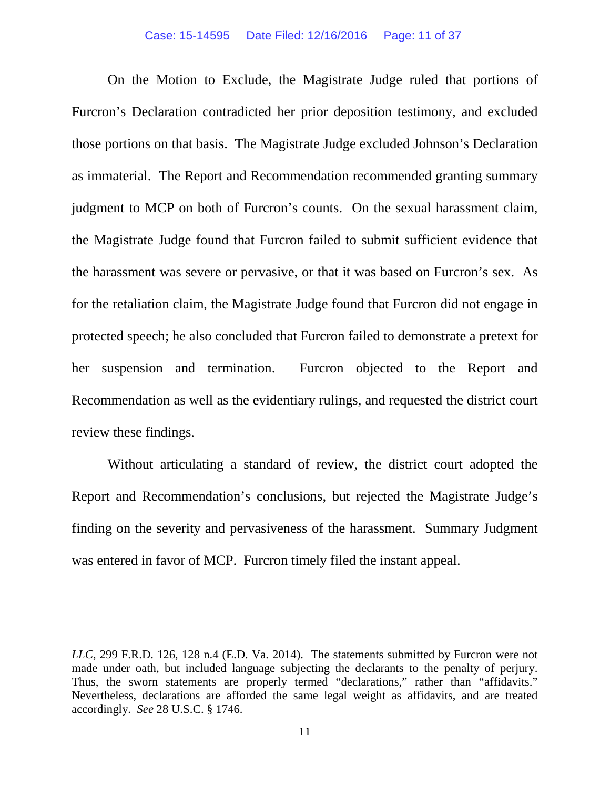#### Case: 15-14595 Date Filed: 12/16/2016 Page: 11 of 37

On the Motion to Exclude, the Magistrate Judge ruled that portions of Furcron's Declaration contradicted her prior deposition testimony, and excluded those portions on that basis. The Magistrate Judge excluded Johnson's Declaration as immaterial. The Report and Recommendation recommended granting summary judgment to MCP on both of Furcron's counts. On the sexual harassment claim, the Magistrate Judge found that Furcron failed to submit sufficient evidence that the harassment was severe or pervasive, or that it was based on Furcron's sex. As for the retaliation claim, the Magistrate Judge found that Furcron did not engage in protected speech; he also concluded that Furcron failed to demonstrate a pretext for her suspension and termination. Furcron objected to the Report and Recommendation as well as the evidentiary rulings, and requested the district court review these findings.

Without articulating a standard of review, the district court adopted the Report and Recommendation's conclusions, but rejected the Magistrate Judge's finding on the severity and pervasiveness of the harassment. Summary Judgment was entered in favor of MCP. Furcron timely filed the instant appeal.

 $\overline{a}$ 

*LLC*, 299 F.R.D. 126, 128 n.4 (E.D. Va. 2014). The statements submitted by Furcron were not made under oath, but included language subjecting the declarants to the penalty of perjury. Thus, the sworn statements are properly termed "declarations," rather than "affidavits." Nevertheless, declarations are afforded the same legal weight as affidavits, and are treated accordingly. *See* 28 U.S.C. § 1746.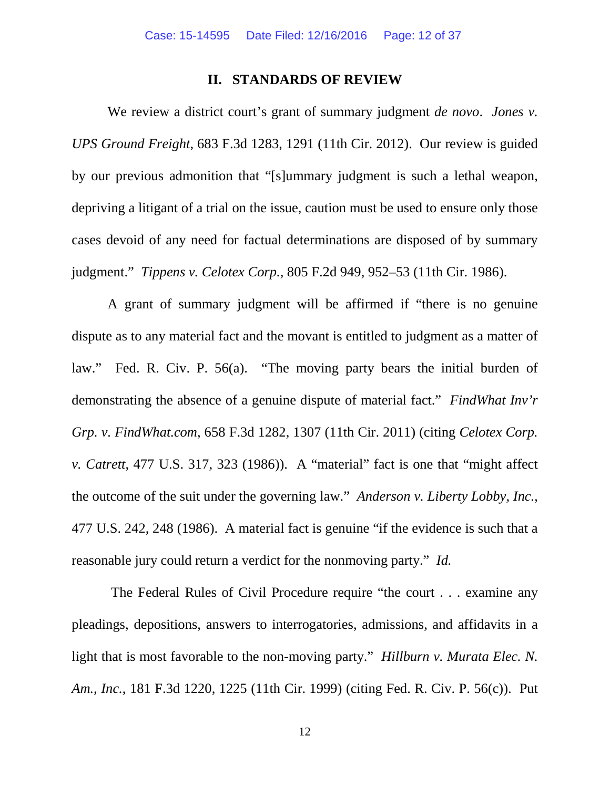## **II. STANDARDS OF REVIEW**

We review a district court's grant of summary judgment *de novo*. *Jones v. UPS Ground Freight*, 683 F.3d 1283, 1291 (11th Cir. 2012). Our review is guided by our previous admonition that "[s]ummary judgment is such a lethal weapon, depriving a litigant of a trial on the issue, caution must be used to ensure only those cases devoid of any need for factual determinations are disposed of by summary judgment." *Tippens v. Celotex Corp.*, 805 F.2d 949, 952–53 (11th Cir. 1986).

A grant of summary judgment will be affirmed if "there is no genuine dispute as to any material fact and the movant is entitled to judgment as a matter of law." Fed. R. Civ. P. 56(a). "The moving party bears the initial burden of demonstrating the absence of a genuine dispute of material fact." *FindWhat Inv'r Grp. v. FindWhat.com*, 658 F.3d 1282, 1307 (11th Cir. 2011) (citing *Celotex Corp. v. Catrett*, 477 U.S. 317, 323 (1986)). A "material" fact is one that "might affect the outcome of the suit under the governing law." *Anderson v. Liberty Lobby, Inc.*, 477 U.S. 242, 248 (1986). A material fact is genuine "if the evidence is such that a reasonable jury could return a verdict for the nonmoving party." *Id.*

The Federal Rules of Civil Procedure require "the court . . . examine any pleadings, depositions, answers to interrogatories, admissions, and affidavits in a light that is most favorable to the non-moving party." *Hillburn v. Murata Elec. N. Am., Inc.*, 181 F.3d 1220, 1225 (11th Cir. 1999) (citing Fed. R. Civ. P. 56(c)). Put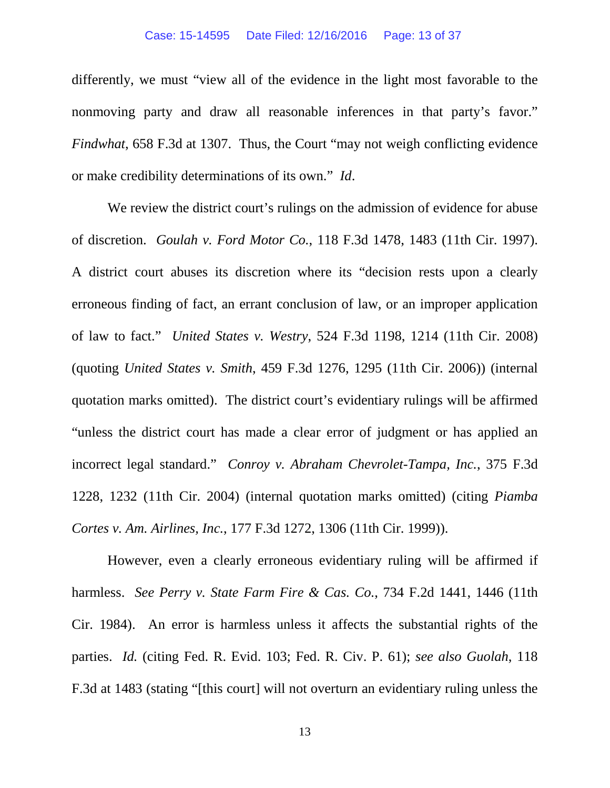#### Case: 15-14595 Date Filed: 12/16/2016 Page: 13 of 37

differently, we must "view all of the evidence in the light most favorable to the nonmoving party and draw all reasonable inferences in that party's favor." *Findwhat*, 658 F.3d at 1307. Thus, the Court "may not weigh conflicting evidence or make credibility determinations of its own." *Id*.

We review the district court's rulings on the admission of evidence for abuse of discretion. *Goulah v. Ford Motor Co.*, 118 F.3d 1478, 1483 (11th Cir. 1997). A district court abuses its discretion where its "decision rests upon a clearly erroneous finding of fact, an errant conclusion of law, or an improper application of law to fact." *United States v. Westry*, 524 F.3d 1198, 1214 (11th Cir. 2008) (quoting *United States v. Smith*, 459 F.3d 1276, 1295 (11th Cir. 2006)) (internal quotation marks omitted). The district court's evidentiary rulings will be affirmed "unless the district court has made a clear error of judgment or has applied an incorrect legal standard." *Conroy v. Abraham Chevrolet-Tampa, Inc.*, 375 F.3d 1228, 1232 (11th Cir. 2004) (internal quotation marks omitted) (citing *Piamba Cortes v. Am. Airlines, Inc.*, 177 F.3d 1272, 1306 (11th Cir. 1999)).

However, even a clearly erroneous evidentiary ruling will be affirmed if harmless. *See Perry v. State Farm Fire & Cas. Co.*, 734 F.2d 1441, 1446 (11th Cir. 1984). An error is harmless unless it affects the substantial rights of the parties. *Id.* (citing Fed. R. Evid. 103; Fed. R. Civ. P. 61); *see also Guolah*, 118 F.3d at 1483 (stating "[this court] will not overturn an evidentiary ruling unless the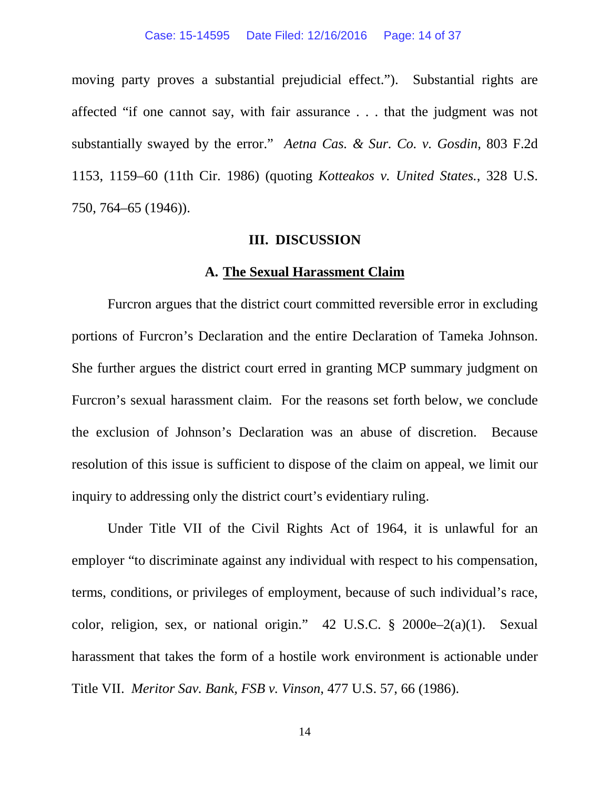#### Case: 15-14595 Date Filed: 12/16/2016 Page: 14 of 37

moving party proves a substantial prejudicial effect.").Substantial rights are affected "if one cannot say, with fair assurance . . . that the judgment was not substantially swayed by the error." *Aetna Cas. & Sur. Co. v. Gosdin*, 803 F.2d 1153, 1159–60 (11th Cir. 1986) (quoting *Kotteakos v. United States.*, 328 U.S. 750, 764–65 (1946)).

## **III. DISCUSSION**

## **A. The Sexual Harassment Claim**

Furcron argues that the district court committed reversible error in excluding portions of Furcron's Declaration and the entire Declaration of Tameka Johnson. She further argues the district court erred in granting MCP summary judgment on Furcron's sexual harassment claim. For the reasons set forth below, we conclude the exclusion of Johnson's Declaration was an abuse of discretion. Because resolution of this issue is sufficient to dispose of the claim on appeal, we limit our inquiry to addressing only the district court's evidentiary ruling.

Under Title VII of the Civil Rights Act of 1964, it is unlawful for an employer "to discriminate against any individual with respect to his compensation, terms, conditions, or privileges of employment, because of such individual's race, color, religion, sex, or national origin." 42 U.S.C. § 2000e–2(a)(1). Sexual harassment that takes the form of a hostile work environment is actionable under Title VII. *Meritor Sav. Bank, FSB v. Vinson*, 477 U.S. 57, 66 (1986).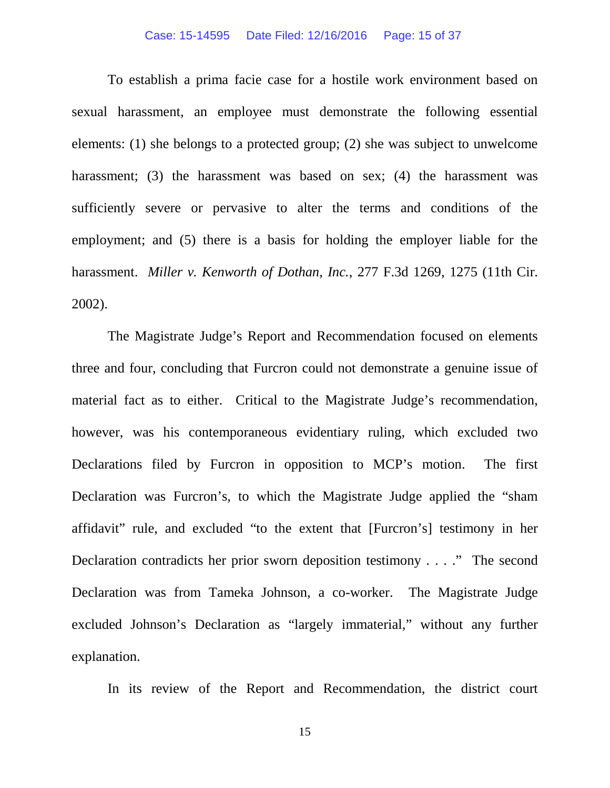## Case: 15-14595 Date Filed: 12/16/2016 Page: 15 of 37

To establish a prima facie case for a hostile work environment based on sexual harassment, an employee must demonstrate the following essential elements: (1) she belongs to a protected group; (2) she was subject to unwelcome harassment; (3) the harassment was based on sex; (4) the harassment was sufficiently severe or pervasive to alter the terms and conditions of the employment; and (5) there is a basis for holding the employer liable for the harassment. *Miller v. Kenworth of Dothan, Inc.*, 277 F.3d 1269, 1275 (11th Cir. 2002).

The Magistrate Judge's Report and Recommendation focused on elements three and four, concluding that Furcron could not demonstrate a genuine issue of material fact as to either. Critical to the Magistrate Judge's recommendation, however, was his contemporaneous evidentiary ruling, which excluded two Declarations filed by Furcron in opposition to MCP's motion. The first Declaration was Furcron's, to which the Magistrate Judge applied the "sham affidavit" rule, and excluded "to the extent that [Furcron's] testimony in her Declaration contradicts her prior sworn deposition testimony . . . ." The second Declaration was from Tameka Johnson, a co-worker. The Magistrate Judge excluded Johnson's Declaration as "largely immaterial," without any further explanation.

In its review of the Report and Recommendation, the district court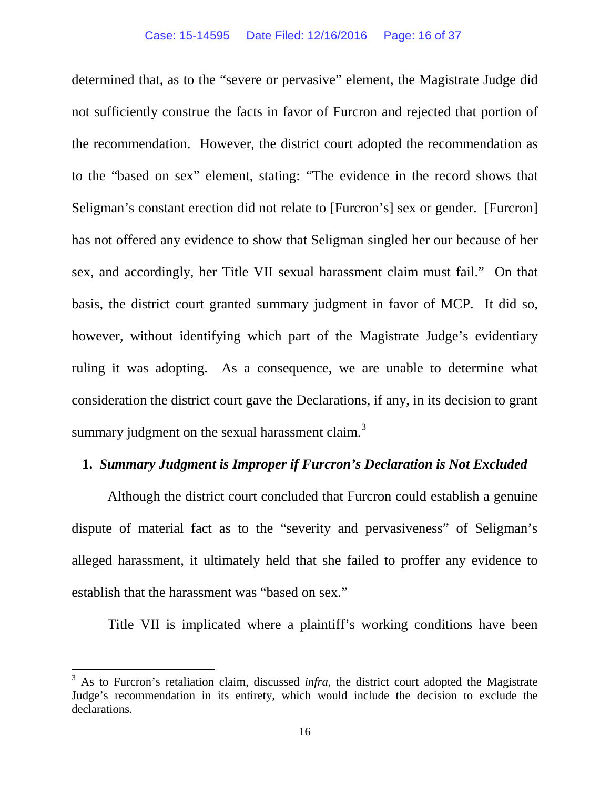determined that, as to the "severe or pervasive" element, the Magistrate Judge did not sufficiently construe the facts in favor of Furcron and rejected that portion of the recommendation. However, the district court adopted the recommendation as to the "based on sex" element, stating: "The evidence in the record shows that Seligman's constant erection did not relate to [Furcron's] sex or gender. [Furcron] has not offered any evidence to show that Seligman singled her our because of her sex, and accordingly, her Title VII sexual harassment claim must fail." On that basis, the district court granted summary judgment in favor of MCP. It did so, however, without identifying which part of the Magistrate Judge's evidentiary ruling it was adopting. As a consequence, we are unable to determine what consideration the district court gave the Declarations, if any, in its decision to grant summary judgment on the sexual harassment claim.<sup>[3](#page-15-0)</sup>

# **1.** *Summary Judgment is Improper if Furcron's Declaration is Not Excluded*

Although the district court concluded that Furcron could establish a genuine dispute of material fact as to the "severity and pervasiveness" of Seligman's alleged harassment, it ultimately held that she failed to proffer any evidence to establish that the harassment was "based on sex."

Title VII is implicated where a plaintiff's working conditions have been

<span id="page-15-0"></span><sup>&</sup>lt;sup>3</sup> As to Furcron's retaliation claim, discussed *infra*, the district court adopted the Magistrate Judge's recommendation in its entirety, which would include the decision to exclude the declarations.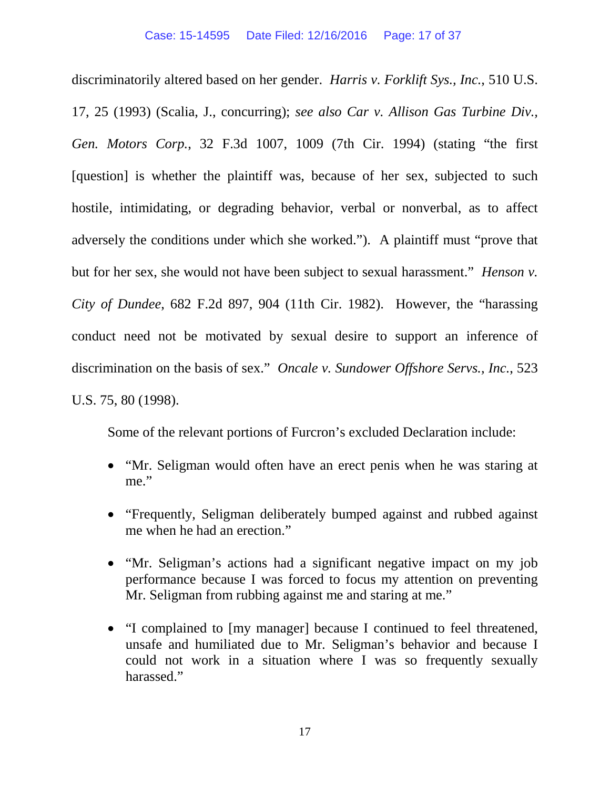discriminatorily altered based on her gender. *Harris v. Forklift Sys., Inc.*, 510 U.S. 17, 25 (1993) (Scalia, J., concurring); *see also Car v. Allison Gas Turbine Div., Gen. Motors Corp.*, 32 F.3d 1007, 1009 (7th Cir. 1994) (stating "the first [question] is whether the plaintiff was, because of her sex, subjected to such hostile, intimidating, or degrading behavior, verbal or nonverbal, as to affect adversely the conditions under which she worked."). A plaintiff must "prove that but for her sex, she would not have been subject to sexual harassment." *Henson v. City of Dundee*, 682 F.2d 897, 904 (11th Cir. 1982). However, the "harassing conduct need not be motivated by sexual desire to support an inference of discrimination on the basis of sex." *Oncale v. Sundower Offshore Servs., Inc.*, 523 U.S. 75, 80 (1998).

Some of the relevant portions of Furcron's excluded Declaration include:

- "Mr. Seligman would often have an erect penis when he was staring at me."
- "Frequently, Seligman deliberately bumped against and rubbed against me when he had an erection."
- "Mr. Seligman's actions had a significant negative impact on my job performance because I was forced to focus my attention on preventing Mr. Seligman from rubbing against me and staring at me."
- "I complained to [my manager] because I continued to feel threatened, unsafe and humiliated due to Mr. Seligman's behavior and because I could not work in a situation where I was so frequently sexually harassed."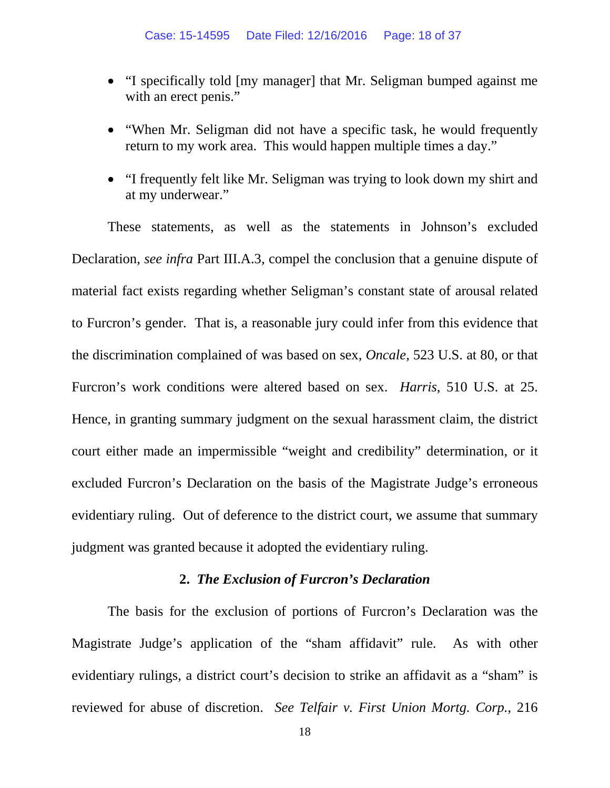- "I specifically told [my manager] that Mr. Seligman bumped against me with an erect penis."
- "When Mr. Seligman did not have a specific task, he would frequently return to my work area. This would happen multiple times a day."
- "I frequently felt like Mr. Seligman was trying to look down my shirt and at my underwear."

These statements, as well as the statements in Johnson's excluded Declaration, *see infra* Part III.A.3, compel the conclusion that a genuine dispute of material fact exists regarding whether Seligman's constant state of arousal related to Furcron's gender. That is, a reasonable jury could infer from this evidence that the discrimination complained of was based on sex, *Oncale*, 523 U.S. at 80, or that Furcron's work conditions were altered based on sex. *Harris*, 510 U.S. at 25. Hence, in granting summary judgment on the sexual harassment claim, the district court either made an impermissible "weight and credibility" determination, or it excluded Furcron's Declaration on the basis of the Magistrate Judge's erroneous evidentiary ruling. Out of deference to the district court, we assume that summary judgment was granted because it adopted the evidentiary ruling.

# **2.** *The Exclusion of Furcron's Declaration*

The basis for the exclusion of portions of Furcron's Declaration was the Magistrate Judge's application of the "sham affidavit" rule. As with other evidentiary rulings, a district court's decision to strike an affidavit as a "sham" is reviewed for abuse of discretion. *See Telfair v. First Union Mortg. Corp.*, 216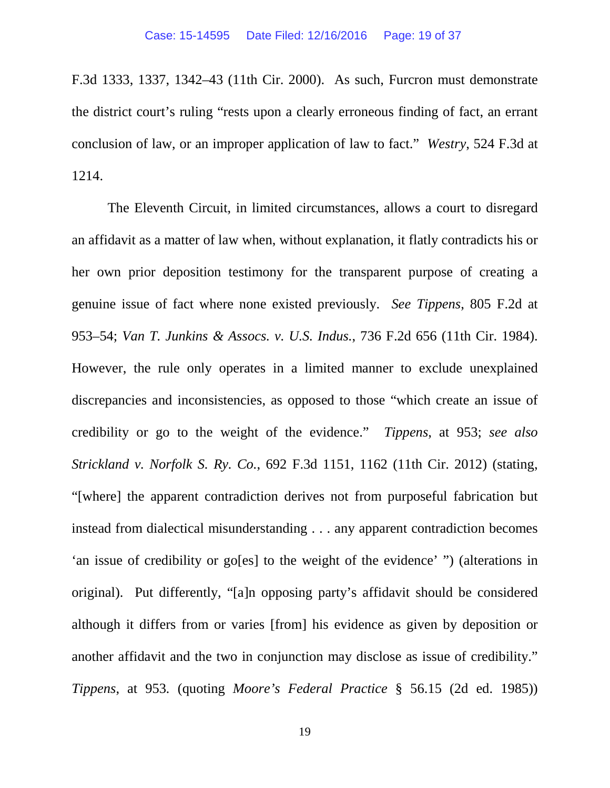F.3d 1333, 1337, 1342–43 (11th Cir. 2000). As such, Furcron must demonstrate the district court's ruling "rests upon a clearly erroneous finding of fact, an errant conclusion of law, or an improper application of law to fact." *Westry*, 524 F.3d at 1214.

The Eleventh Circuit, in limited circumstances, allows a court to disregard an affidavit as a matter of law when, without explanation, it flatly contradicts his or her own prior deposition testimony for the transparent purpose of creating a genuine issue of fact where none existed previously. *See Tippens*, 805 F.2d at 953–54; *Van T. Junkins & Assocs. v. U.S. Indus.*, 736 F.2d 656 (11th Cir. 1984). However, the rule only operates in a limited manner to exclude unexplained discrepancies and inconsistencies, as opposed to those "which create an issue of credibility or go to the weight of the evidence." *Tippens*, at 953; *see also Strickland v. Norfolk S. Ry. Co.*, 692 F.3d 1151, 1162 (11th Cir. 2012) (stating, "[where] the apparent contradiction derives not from purposeful fabrication but instead from dialectical misunderstanding . . . any apparent contradiction becomes 'an issue of credibility or go[es] to the weight of the evidence' ") (alterations in original). Put differently, "[a]n opposing party's affidavit should be considered although it differs from or varies [from] his evidence as given by deposition or another affidavit and the two in conjunction may disclose as issue of credibility." *Tippens*, at 953*.* (quoting *Moore's Federal Practice* § 56.15 (2d ed. 1985))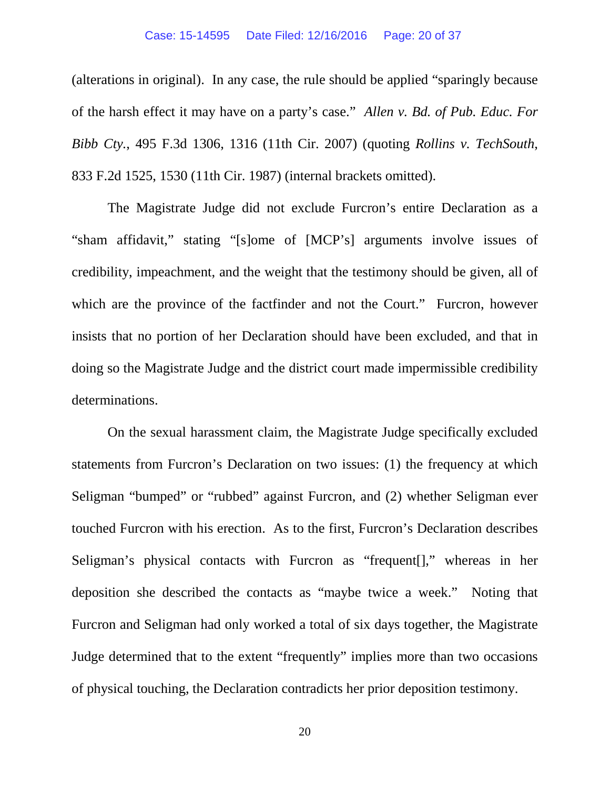## Case: 15-14595 Date Filed: 12/16/2016 Page: 20 of 37

(alterations in original). In any case, the rule should be applied "sparingly because of the harsh effect it may have on a party's case." *Allen v. Bd. of Pub. Educ. For Bibb Cty.*, 495 F.3d 1306, 1316 (11th Cir. 2007) (quoting *Rollins v. TechSouth*, 833 F.2d 1525, 1530 (11th Cir. 1987) (internal brackets omitted).

The Magistrate Judge did not exclude Furcron's entire Declaration as a "sham affidavit," stating "[s]ome of [MCP's] arguments involve issues of credibility, impeachment, and the weight that the testimony should be given, all of which are the province of the factfinder and not the Court." Furcron, however insists that no portion of her Declaration should have been excluded, and that in doing so the Magistrate Judge and the district court made impermissible credibility determinations.

On the sexual harassment claim, the Magistrate Judge specifically excluded statements from Furcron's Declaration on two issues: (1) the frequency at which Seligman "bumped" or "rubbed" against Furcron, and (2) whether Seligman ever touched Furcron with his erection. As to the first, Furcron's Declaration describes Seligman's physical contacts with Furcron as "frequent[]," whereas in her deposition she described the contacts as "maybe twice a week." Noting that Furcron and Seligman had only worked a total of six days together, the Magistrate Judge determined that to the extent "frequently" implies more than two occasions of physical touching, the Declaration contradicts her prior deposition testimony.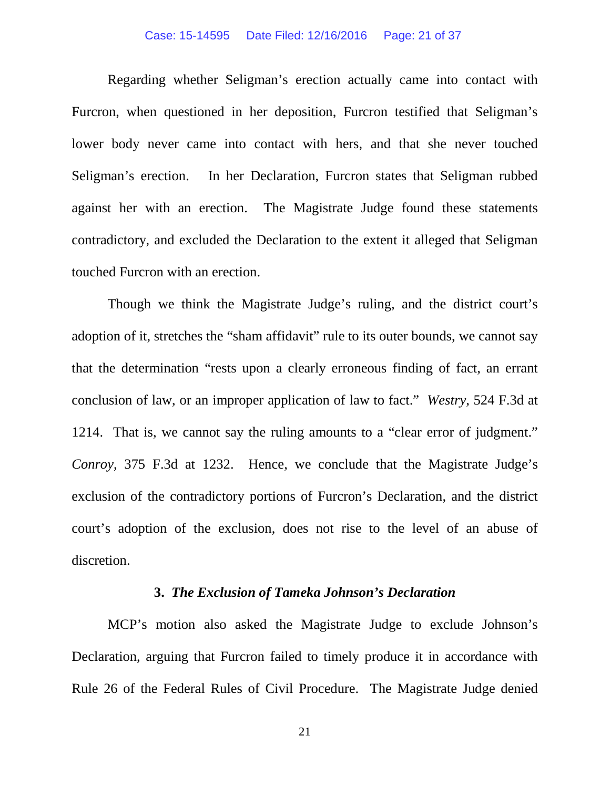#### Case: 15-14595 Date Filed: 12/16/2016 Page: 21 of 37

Regarding whether Seligman's erection actually came into contact with Furcron, when questioned in her deposition, Furcron testified that Seligman's lower body never came into contact with hers, and that she never touched Seligman's erection. In her Declaration, Furcron states that Seligman rubbed against her with an erection. The Magistrate Judge found these statements contradictory, and excluded the Declaration to the extent it alleged that Seligman touched Furcron with an erection.

Though we think the Magistrate Judge's ruling, and the district court's adoption of it, stretches the "sham affidavit" rule to its outer bounds, we cannot say that the determination "rests upon a clearly erroneous finding of fact, an errant conclusion of law, or an improper application of law to fact." *Westry*, 524 F.3d at 1214. That is, we cannot say the ruling amounts to a "clear error of judgment." *Conroy*, 375 F.3d at 1232. Hence, we conclude that the Magistrate Judge's exclusion of the contradictory portions of Furcron's Declaration, and the district court's adoption of the exclusion, does not rise to the level of an abuse of discretion.

# **3.** *The Exclusion of Tameka Johnson's Declaration*

MCP's motion also asked the Magistrate Judge to exclude Johnson's Declaration, arguing that Furcron failed to timely produce it in accordance with Rule 26 of the Federal Rules of Civil Procedure. The Magistrate Judge denied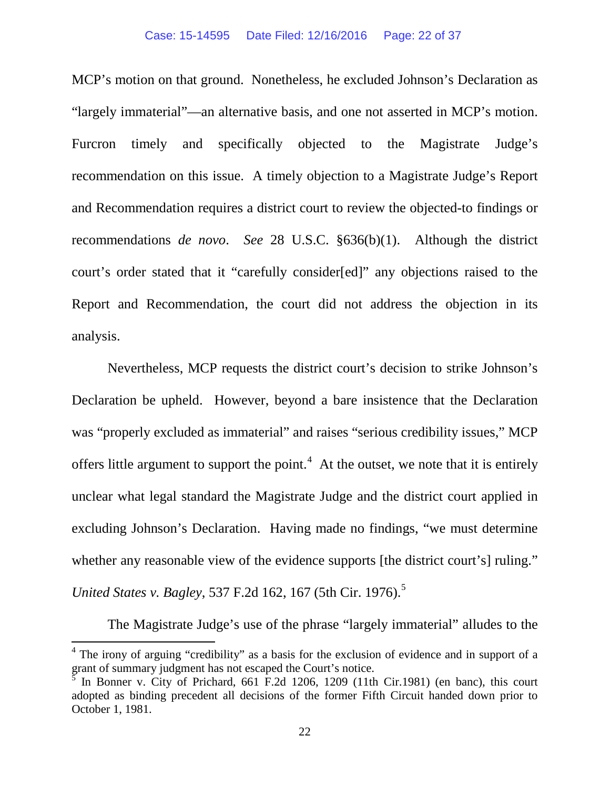MCP's motion on that ground. Nonetheless, he excluded Johnson's Declaration as "largely immaterial"—an alternative basis, and one not asserted in MCP's motion. Furcron timely and specifically objected to the Magistrate Judge's recommendation on this issue. A timely objection to a Magistrate Judge's Report and Recommendation requires a district court to review the objected-to findings or recommendations *de novo*. *See* 28 U.S.C. §636(b)(1). Although the district court's order stated that it "carefully consider[ed]" any objections raised to the Report and Recommendation, the court did not address the objection in its analysis.

Nevertheless, MCP requests the district court's decision to strike Johnson's Declaration be upheld. However, beyond a bare insistence that the Declaration was "properly excluded as immaterial" and raises "serious credibility issues," MCP offers little argument to support the point.<sup>[4](#page-21-0)</sup> At the outset, we note that it is entirely unclear what legal standard the Magistrate Judge and the district court applied in excluding Johnson's Declaration. Having made no findings, "we must determine whether any reasonable view of the evidence supports [the district court's] ruling." *United States v. Bagley, [5](#page-21-1)37 F.2d 162, 167 (5th Cir. 1976).*<sup>5</sup>

The Magistrate Judge's use of the phrase "largely immaterial" alludes to the

<span id="page-21-0"></span><sup>&</sup>lt;sup>4</sup> The irony of arguing "credibility" as a basis for the exclusion of evidence and in support of a grant of summary judgment has not escaped the Court's notice.

<span id="page-21-1"></span><sup>5</sup> In Bonner v. City of Prichard, 661 F.2d 1206, 1209 (11th Cir.1981) (en banc), this court adopted as binding precedent all decisions of the former Fifth Circuit handed down prior to October 1, 1981.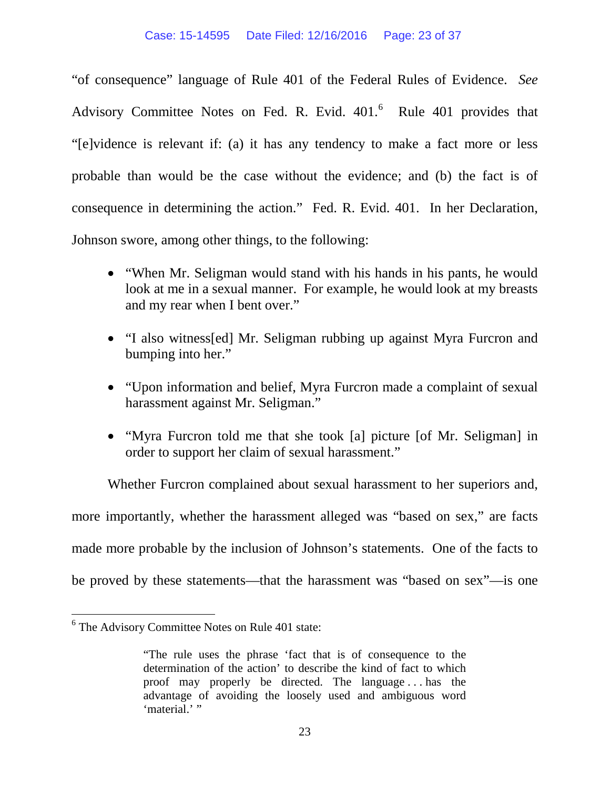"of consequence" language of Rule 401 of the Federal Rules of Evidence. *See*  Advisory Committee Notes on Fed. R. Evid.  $401<sup>6</sup>$  $401<sup>6</sup>$  $401<sup>6</sup>$  Rule 401 provides that "[e]vidence is relevant if: (a) it has any tendency to make a fact more or less probable than would be the case without the evidence; and (b) the fact is of consequence in determining the action." Fed. R. Evid. 401. In her Declaration, Johnson swore, among other things, to the following:

- "When Mr. Seligman would stand with his hands in his pants, he would look at me in a sexual manner. For example, he would look at my breasts and my rear when I bent over."
- "I also witness[ed] Mr. Seligman rubbing up against Myra Furcron and bumping into her."
- "Upon information and belief, Myra Furcron made a complaint of sexual harassment against Mr. Seligman."
- "Myra Furcron told me that she took [a] picture [of Mr. Seligman] in order to support her claim of sexual harassment."

Whether Furcron complained about sexual harassment to her superiors and, more importantly, whether the harassment alleged was "based on sex," are facts made more probable by the inclusion of Johnson's statements. One of the facts to be proved by these statements—that the harassment was "based on sex"—is one

<span id="page-22-0"></span> <sup>6</sup> The Advisory Committee Notes on Rule 401 state:

<sup>&</sup>quot;The rule uses the phrase 'fact that is of consequence to the determination of the action' to describe the kind of fact to which proof may properly be directed. The language . . . has the advantage of avoiding the loosely used and ambiguous word 'material.' "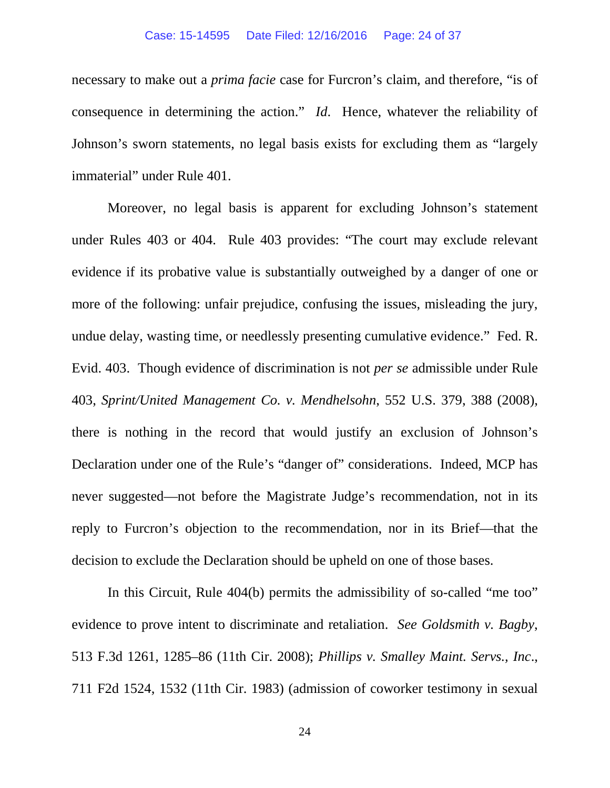## Case: 15-14595 Date Filed: 12/16/2016 Page: 24 of 37

necessary to make out a *prima facie* case for Furcron's claim, and therefore, "is of consequence in determining the action." *Id*. Hence, whatever the reliability of Johnson's sworn statements, no legal basis exists for excluding them as "largely immaterial" under Rule 401.

Moreover, no legal basis is apparent for excluding Johnson's statement under Rules 403 or 404. Rule 403 provides: "The court may exclude relevant evidence if its probative value is substantially outweighed by a danger of one or more of the following: unfair prejudice, confusing the issues, misleading the jury, undue delay, wasting time, or needlessly presenting cumulative evidence." Fed. R. Evid. 403. Though evidence of discrimination is not *per se* admissible under Rule 403, *Sprint/United Management Co. v. Mendhelsohn*, 552 U.S. 379, 388 (2008), there is nothing in the record that would justify an exclusion of Johnson's Declaration under one of the Rule's "danger of" considerations. Indeed, MCP has never suggested—not before the Magistrate Judge's recommendation, not in its reply to Furcron's objection to the recommendation, nor in its Brief—that the decision to exclude the Declaration should be upheld on one of those bases.

In this Circuit, Rule 404(b) permits the admissibility of so-called "me too" evidence to prove intent to discriminate and retaliation. *See Goldsmith v. Bagby*, 513 F.3d 1261, 1285–86 (11th Cir. 2008); *Phillips v. Smalley Maint. Servs., Inc*., 711 F2d 1524, 1532 (11th Cir. 1983) (admission of coworker testimony in sexual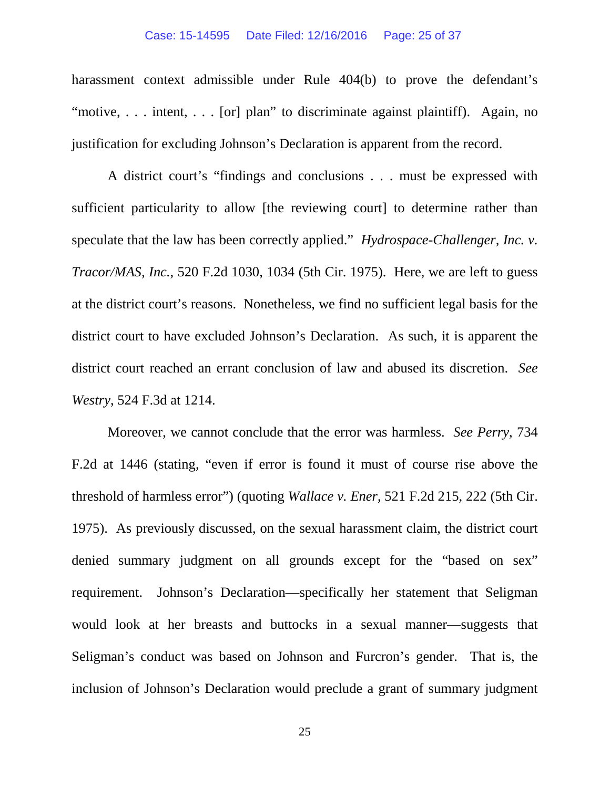## Case: 15-14595 Date Filed: 12/16/2016 Page: 25 of 37

harassment context admissible under Rule 404(b) to prove the defendant's "motive, . . . intent, . . . [or] plan" to discriminate against plaintiff). Again, no justification for excluding Johnson's Declaration is apparent from the record.

A district court's "findings and conclusions . . . must be expressed with sufficient particularity to allow [the reviewing court] to determine rather than speculate that the law has been correctly applied." *Hydrospace-Challenger, Inc. v. Tracor/MAS, Inc.*, 520 F.2d 1030, 1034 (5th Cir. 1975). Here, we are left to guess at the district court's reasons. Nonetheless, we find no sufficient legal basis for the district court to have excluded Johnson's Declaration. As such, it is apparent the district court reached an errant conclusion of law and abused its discretion. *See Westry*, 524 F.3d at 1214.

Moreover, we cannot conclude that the error was harmless. *See Perry*, 734 F.2d at 1446 (stating, "even if error is found it must of course rise above the threshold of harmless error") (quoting *Wallace v. Ener*, 521 F.2d 215, 222 (5th Cir. 1975). As previously discussed, on the sexual harassment claim, the district court denied summary judgment on all grounds except for the "based on sex" requirement. Johnson's Declaration—specifically her statement that Seligman would look at her breasts and buttocks in a sexual manner—suggests that Seligman's conduct was based on Johnson and Furcron's gender. That is, the inclusion of Johnson's Declaration would preclude a grant of summary judgment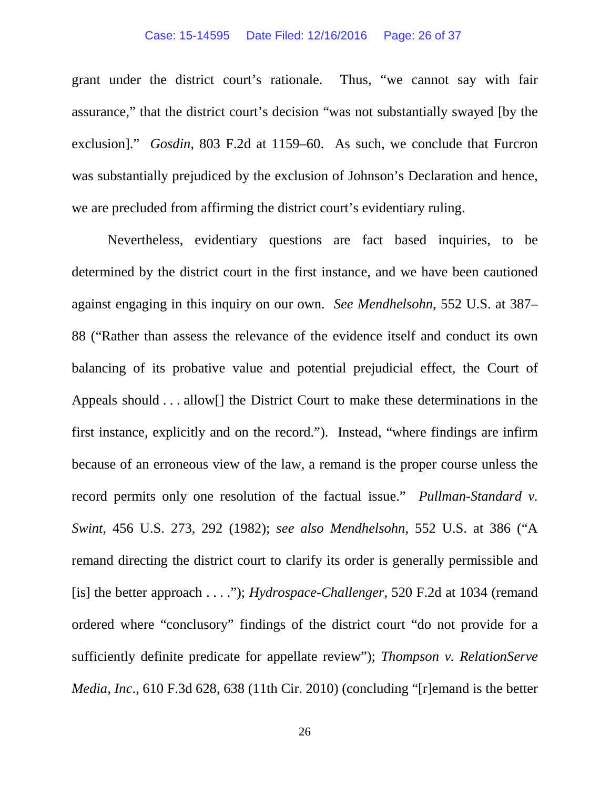## Case: 15-14595 Date Filed: 12/16/2016 Page: 26 of 37

grant under the district court's rationale. Thus, "we cannot say with fair assurance," that the district court's decision "was not substantially swayed [by the exclusion]." *Gosdin*, 803 F.2d at 1159–60. As such, we conclude that Furcron was substantially prejudiced by the exclusion of Johnson's Declaration and hence, we are precluded from affirming the district court's evidentiary ruling.

Nevertheless, evidentiary questions are fact based inquiries, to be determined by the district court in the first instance, and we have been cautioned against engaging in this inquiry on our own. *See Mendhelsohn*, 552 U.S. at 387– 88 ("Rather than assess the relevance of the evidence itself and conduct its own balancing of its probative value and potential prejudicial effect, the Court of Appeals should . . . allow[] the District Court to make these determinations in the first instance, explicitly and on the record."). Instead, "where findings are infirm because of an erroneous view of the law, a remand is the proper course unless the record permits only one resolution of the factual issue." *Pullman-Standard v. Swint*, 456 U.S. 273, 292 (1982); *see also Mendhelsohn*, 552 U.S. at 386 ("A remand directing the district court to clarify its order is generally permissible and [is] the better approach . . . ."); *Hydrospace-Challenger*, 520 F.2d at 1034 (remand ordered where "conclusory" findings of the district court "do not provide for a sufficiently definite predicate for appellate review"); *Thompson v. RelationServe Media, Inc*., 610 F.3d 628, 638 (11th Cir. 2010) (concluding "[r]emand is the better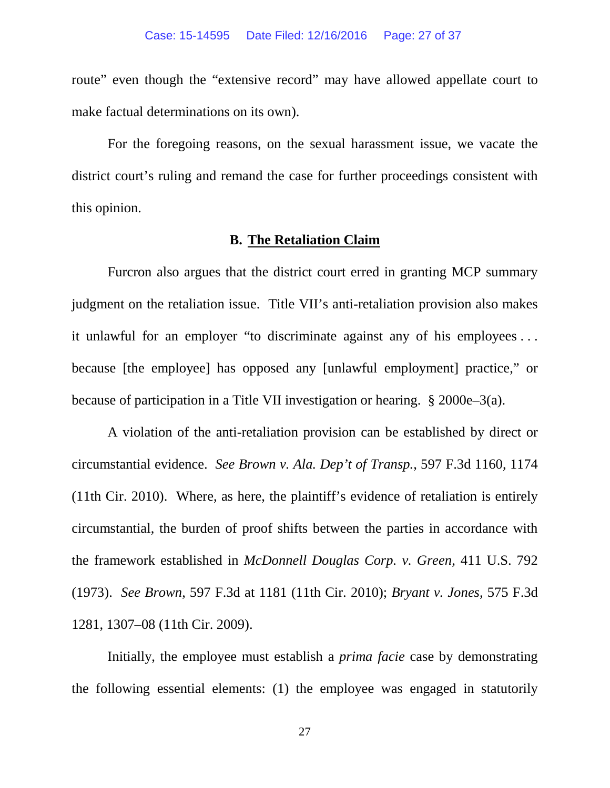route" even though the "extensive record" may have allowed appellate court to make factual determinations on its own).

For the foregoing reasons, on the sexual harassment issue, we vacate the district court's ruling and remand the case for further proceedings consistent with this opinion.

## **B. The Retaliation Claim**

Furcron also argues that the district court erred in granting MCP summary judgment on the retaliation issue. Title VII's anti-retaliation provision also makes it unlawful for an employer "to discriminate against any of his employees . . . because [the employee] has opposed any [unlawful employment] practice," or because of participation in a Title VII investigation or hearing. § 2000e–3(a).

A violation of the anti-retaliation provision can be established by direct or circumstantial evidence. *See Brown v. Ala. Dep't of Transp.*, 597 F.3d 1160, 1174 (11th Cir. 2010). Where, as here, the plaintiff's evidence of retaliation is entirely circumstantial, the burden of proof shifts between the parties in accordance with the framework established in *McDonnell Douglas Corp. v. Green*, 411 U.S. 792 (1973). *See Brown*, 597 F.3d at 1181 (11th Cir. 2010); *Bryant v. Jones*, 575 F.3d 1281, 1307–08 (11th Cir. 2009).

Initially, the employee must establish a *prima facie* case by demonstrating the following essential elements: (1) the employee was engaged in statutorily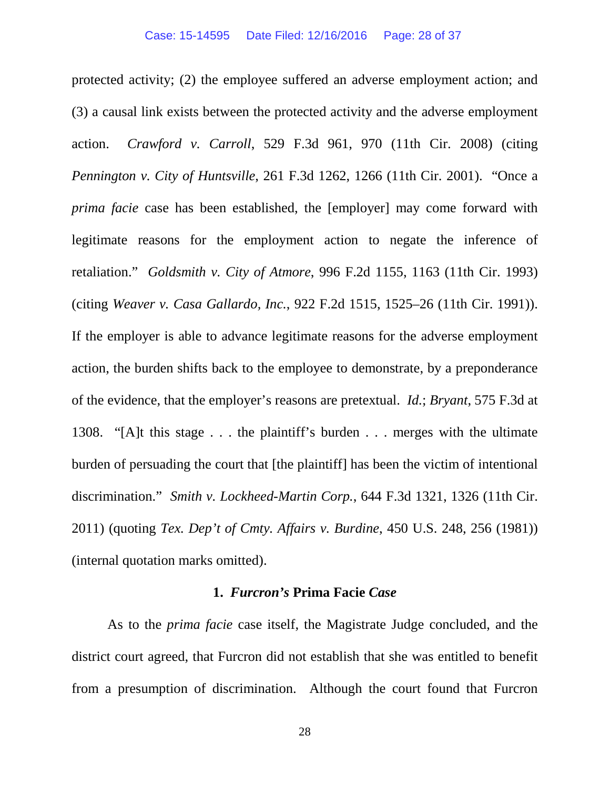protected activity; (2) the employee suffered an adverse employment action; and (3) a causal link exists between the protected activity and the adverse employment action. *Crawford v. Carroll*, 529 F.3d 961, 970 (11th Cir. 2008) (citing *Pennington v. City of Huntsville*, 261 F.3d 1262, 1266 (11th Cir. 2001). "Once a *prima facie* case has been established, the [employer] may come forward with legitimate reasons for the employment action to negate the inference of retaliation." *Goldsmith v. City of Atmore*, 996 F.2d 1155, 1163 (11th Cir. 1993) (citing *Weaver v. Casa Gallardo, Inc.*, 922 F.2d 1515, 1525–26 (11th Cir. 1991)). If the employer is able to advance legitimate reasons for the adverse employment action, the burden shifts back to the employee to demonstrate, by a preponderance of the evidence, that the employer's reasons are pretextual. *Id.*; *Bryant*, 575 F.3d at 1308. "[A]t this stage . . . the plaintiff's burden . . . merges with the ultimate burden of persuading the court that [the plaintiff] has been the victim of intentional discrimination." *Smith v. Lockheed-Martin Corp.*, 644 F.3d 1321, 1326 (11th Cir. 2011) (quoting *Tex. Dep't of Cmty. Affairs v. Burdine*, 450 U.S. 248, 256 (1981)) (internal quotation marks omitted).

# **1.** *Furcron's* **Prima Facie** *Case*

As to the *prima facie* case itself, the Magistrate Judge concluded, and the district court agreed, that Furcron did not establish that she was entitled to benefit from a presumption of discrimination. Although the court found that Furcron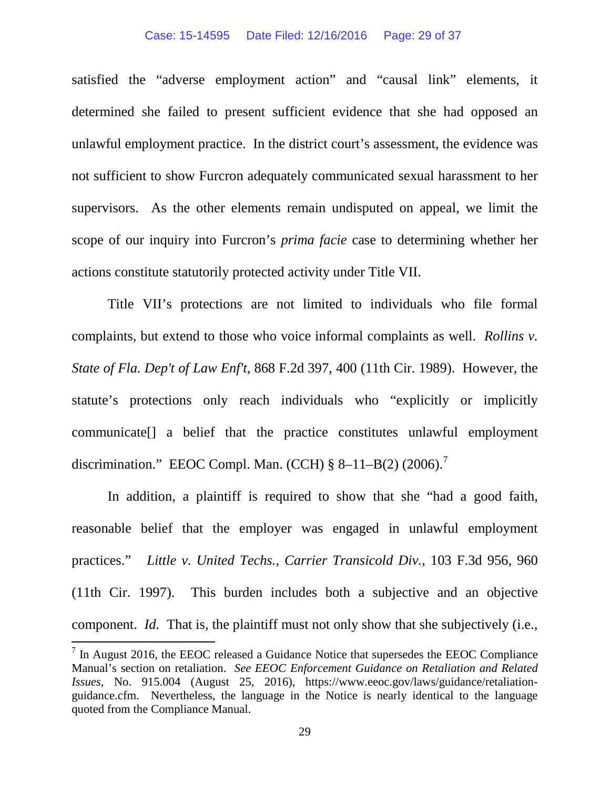#### Case: 15-14595 Date Filed: 12/16/2016 Page: 29 of 37

satisfied the "adverse employment action" and "causal link" elements, it determined she failed to present sufficient evidence that she had opposed an unlawful employment practice. In the district court's assessment, the evidence was not sufficient to show Furcron adequately communicated sexual harassment to her supervisors. As the other elements remain undisputed on appeal, we limit the scope of our inquiry into Furcron's *prima facie* case to determining whether her actions constitute statutorily protected activity under Title VII.

Title VII's protections are not limited to individuals who file formal complaints, but extend to those who voice informal complaints as well. *Rollins v. State of Fla. Dep't of Law Enf't*, 868 F.2d 397, 400 (11th Cir. 1989). However, the statute's protections only reach individuals who "explicitly or implicitly communicate[] a belief that the practice constitutes unlawful employment discrimination." EEOC Compl. Man. (CCH)  $\S 8-11-B(2)$  (2006).<sup>[7](#page-28-0)</sup>

In addition, a plaintiff is required to show that she "had a good faith, reasonable belief that the employer was engaged in unlawful employment practices." *Little v. United Techs., Carrier Transicold Div.*, 103 F.3d 956, 960 (11th Cir. 1997). This burden includes both a subjective and an objective component. *Id.* That is, the plaintiff must not only show that she subjectively (i.e.,

<span id="page-28-0"></span> $<sup>7</sup>$  In August 2016, the EEOC released a Guidance Notice that supersedes the EEOC Compliance</sup> Manual's section on retaliation. *See EEOC Enforcement Guidance on Retaliation and Related Issues*, No. 915.004 (August 25, 2016), https://www.eeoc.gov/laws/guidance/retaliationguidance.cfm. Nevertheless, the language in the Notice is nearly identical to the language quoted from the Compliance Manual.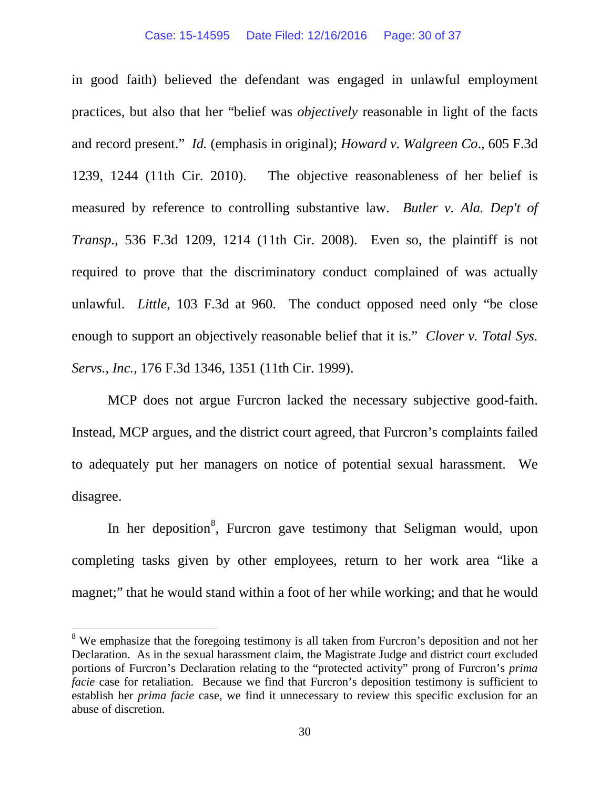in good faith) believed the defendant was engaged in unlawful employment practices, but also that her "belief was *objectively* reasonable in light of the facts and record present." *Id.* (emphasis in original); *Howard v. Walgreen Co*., 605 F.3d 1239, 1244 (11th Cir. 2010). The objective reasonableness of her belief is measured by reference to controlling substantive law. *Butler v. Ala. Dep't of Transp.*, 536 F.3d 1209, 1214 (11th Cir. 2008). Even so, the plaintiff is not required to prove that the discriminatory conduct complained of was actually unlawful. *Little*, 103 F.3d at 960. The conduct opposed need only "be close enough to support an objectively reasonable belief that it is." *Clover v. Total Sys. Servs., Inc.*, 176 F.3d 1346, 1351 (11th Cir. 1999).

MCP does not argue Furcron lacked the necessary subjective good-faith. Instead, MCP argues, and the district court agreed, that Furcron's complaints failed to adequately put her managers on notice of potential sexual harassment. We disagree.

In her deposition<sup>[8](#page-29-0)</sup>, Furcron gave testimony that Seligman would, upon completing tasks given by other employees, return to her work area "like a magnet;" that he would stand within a foot of her while working; and that he would

<span id="page-29-0"></span><sup>&</sup>lt;sup>8</sup> We emphasize that the foregoing testimony is all taken from Furcron's deposition and not her Declaration. As in the sexual harassment claim, the Magistrate Judge and district court excluded portions of Furcron's Declaration relating to the "protected activity" prong of Furcron's *prima facie* case for retaliation. Because we find that Furcron's deposition testimony is sufficient to establish her *prima facie* case, we find it unnecessary to review this specific exclusion for an abuse of discretion.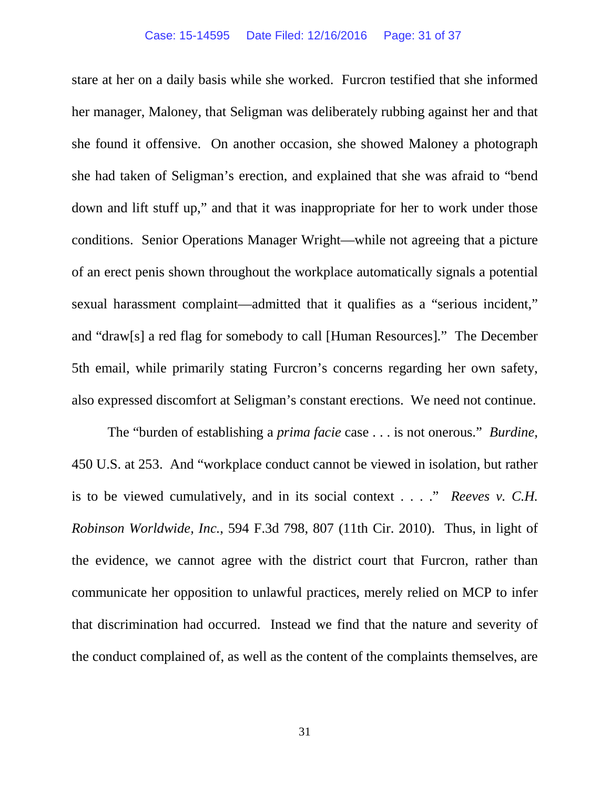stare at her on a daily basis while she worked. Furcron testified that she informed her manager, Maloney, that Seligman was deliberately rubbing against her and that she found it offensive. On another occasion, she showed Maloney a photograph she had taken of Seligman's erection, and explained that she was afraid to "bend down and lift stuff up," and that it was inappropriate for her to work under those conditions. Senior Operations Manager Wright—while not agreeing that a picture of an erect penis shown throughout the workplace automatically signals a potential sexual harassment complaint—admitted that it qualifies as a "serious incident," and "draw[s] a red flag for somebody to call [Human Resources]." The December 5th email, while primarily stating Furcron's concerns regarding her own safety, also expressed discomfort at Seligman's constant erections. We need not continue.

The "burden of establishing a *prima facie* case . . . is not onerous." *Burdine*, 450 U.S. at 253. And "workplace conduct cannot be viewed in isolation, but rather is to be viewed cumulatively, and in its social context . . . ." *Reeves v. C.H. Robinson Worldwide, Inc.*, 594 F.3d 798, 807 (11th Cir. 2010). Thus, in light of the evidence, we cannot agree with the district court that Furcron, rather than communicate her opposition to unlawful practices, merely relied on MCP to infer that discrimination had occurred. Instead we find that the nature and severity of the conduct complained of, as well as the content of the complaints themselves, are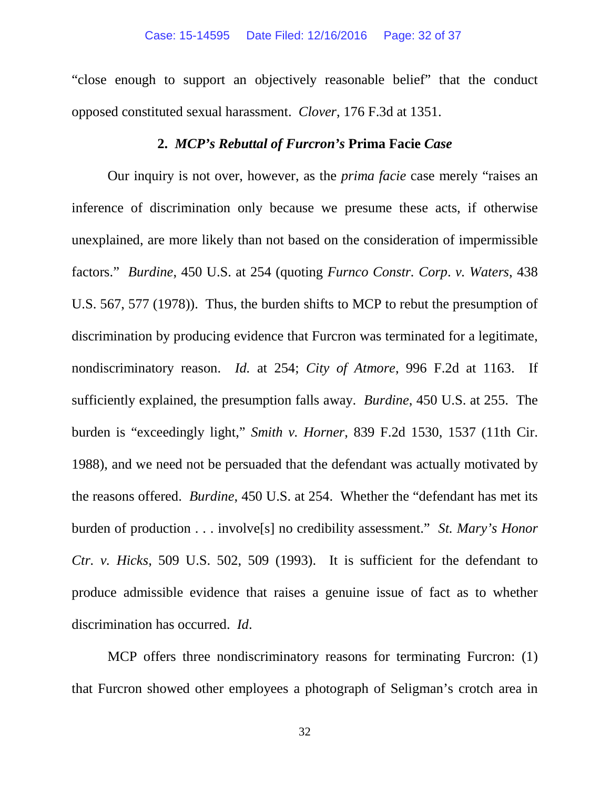"close enough to support an objectively reasonable belief" that the conduct opposed constituted sexual harassment. *Clover*, 176 F.3d at 1351.

# **2.** *MCP's Rebuttal of Furcron's* **Prima Facie** *Case*

Our inquiry is not over, however, as the *prima facie* case merely "raises an inference of discrimination only because we presume these acts, if otherwise unexplained, are more likely than not based on the consideration of impermissible factors." *Burdine*, 450 U.S. at 254 (quoting *Furnco Constr. Corp*. *v. Waters*, 438 U.S. 567, 577 (1978)). Thus, the burden shifts to MCP to rebut the presumption of discrimination by producing evidence that Furcron was terminated for a legitimate, nondiscriminatory reason. *Id.* at 254; *City of Atmore*, 996 F.2d at 1163. If sufficiently explained, the presumption falls away. *Burdine*, 450 U.S. at 255. The burden is "exceedingly light," *Smith v. Horner*, 839 F.2d 1530, 1537 (11th Cir. 1988), and we need not be persuaded that the defendant was actually motivated by the reasons offered. *Burdine*, 450 U.S. at 254. Whether the "defendant has met its burden of production . . . involve[s] no credibility assessment." *St. Mary's Honor Ctr. v. Hicks*, 509 U.S. 502, 509 (1993). It is sufficient for the defendant to produce admissible evidence that raises a genuine issue of fact as to whether discrimination has occurred. *Id*.

MCP offers three nondiscriminatory reasons for terminating Furcron: (1) that Furcron showed other employees a photograph of Seligman's crotch area in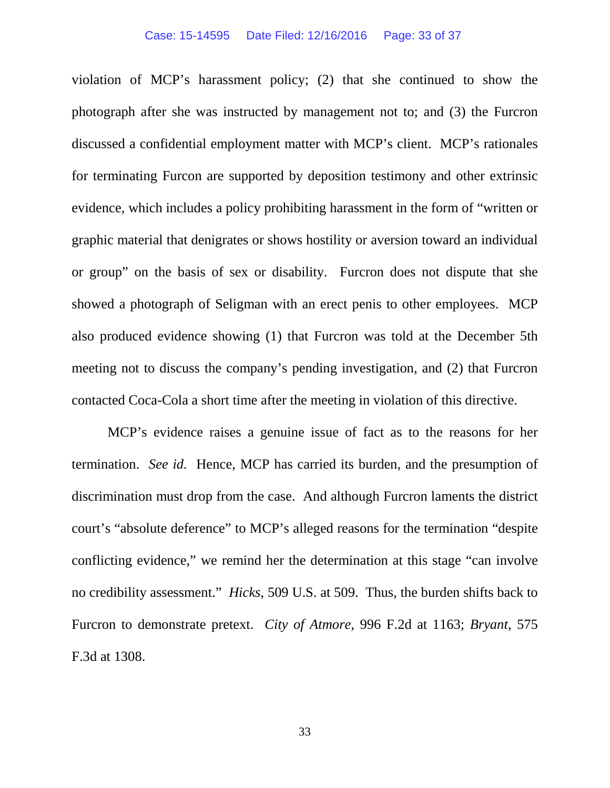### Case: 15-14595 Date Filed: 12/16/2016 Page: 33 of 37

violation of MCP's harassment policy; (2) that she continued to show the photograph after she was instructed by management not to; and (3) the Furcron discussed a confidential employment matter with MCP's client. MCP's rationales for terminating Furcon are supported by deposition testimony and other extrinsic evidence, which includes a policy prohibiting harassment in the form of "written or graphic material that denigrates or shows hostility or aversion toward an individual or group" on the basis of sex or disability. Furcron does not dispute that she showed a photograph of Seligman with an erect penis to other employees. MCP also produced evidence showing (1) that Furcron was told at the December 5th meeting not to discuss the company's pending investigation, and (2) that Furcron contacted Coca-Cola a short time after the meeting in violation of this directive.

MCP's evidence raises a genuine issue of fact as to the reasons for her termination. *See id.* Hence, MCP has carried its burden, and the presumption of discrimination must drop from the case. And although Furcron laments the district court's "absolute deference" to MCP's alleged reasons for the termination "despite conflicting evidence," we remind her the determination at this stage "can involve no credibility assessment." *Hicks*, 509 U.S. at 509. Thus, the burden shifts back to Furcron to demonstrate pretext. *City of Atmore*, 996 F.2d at 1163; *Bryant*, 575 F.3d at 1308.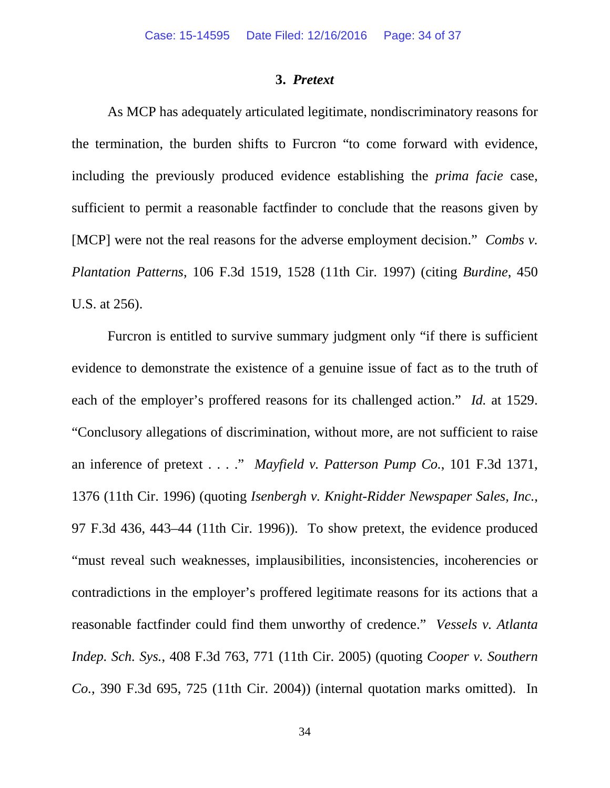# **3.** *Pretext*

As MCP has adequately articulated legitimate, nondiscriminatory reasons for the termination, the burden shifts to Furcron "to come forward with evidence, including the previously produced evidence establishing the *prima facie* case, sufficient to permit a reasonable factfinder to conclude that the reasons given by [MCP] were not the real reasons for the adverse employment decision." *Combs v. Plantation Patterns*, 106 F.3d 1519, 1528 (11th Cir. 1997) (citing *Burdine*, 450 U.S. at 256).

Furcron is entitled to survive summary judgment only "if there is sufficient evidence to demonstrate the existence of a genuine issue of fact as to the truth of each of the employer's proffered reasons for its challenged action." *Id.* at 1529. "Conclusory allegations of discrimination, without more, are not sufficient to raise an inference of pretext . . . ." *Mayfield v. Patterson Pump Co.*, 101 F.3d 1371, 1376 (11th Cir. 1996) (quoting *Isenbergh v. Knight-Ridder Newspaper Sales, Inc.*, 97 F.3d 436, 443–44 (11th Cir. 1996)). To show pretext, the evidence produced "must reveal such weaknesses, implausibilities, inconsistencies, incoherencies or contradictions in the employer's proffered legitimate reasons for its actions that a reasonable factfinder could find them unworthy of credence." *Vessels v. Atlanta Indep. Sch. Sys.*, 408 F.3d 763, 771 (11th Cir. 2005) (quoting *Cooper v. Southern Co.*, 390 F.3d 695, 725 (11th Cir. 2004)) (internal quotation marks omitted). In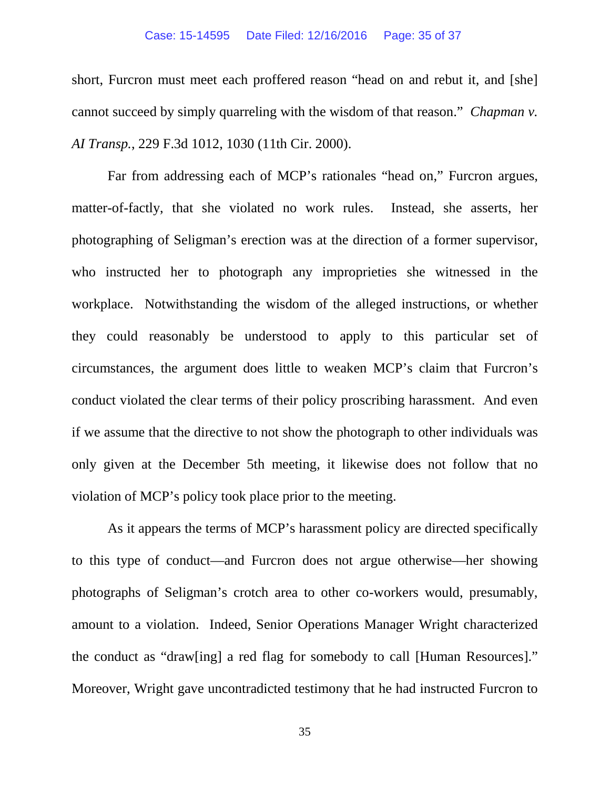## Case: 15-14595 Date Filed: 12/16/2016 Page: 35 of 37

short, Furcron must meet each proffered reason "head on and rebut it, and [she] cannot succeed by simply quarreling with the wisdom of that reason." *Chapman v. AI Transp.*, 229 F.3d 1012, 1030 (11th Cir. 2000).

Far from addressing each of MCP's rationales "head on," Furcron argues, matter-of-factly, that she violated no work rules. Instead, she asserts, her photographing of Seligman's erection was at the direction of a former supervisor, who instructed her to photograph any improprieties she witnessed in the workplace. Notwithstanding the wisdom of the alleged instructions, or whether they could reasonably be understood to apply to this particular set of circumstances, the argument does little to weaken MCP's claim that Furcron's conduct violated the clear terms of their policy proscribing harassment. And even if we assume that the directive to not show the photograph to other individuals was only given at the December 5th meeting, it likewise does not follow that no violation of MCP's policy took place prior to the meeting.

As it appears the terms of MCP's harassment policy are directed specifically to this type of conduct—and Furcron does not argue otherwise—her showing photographs of Seligman's crotch area to other co-workers would, presumably, amount to a violation. Indeed, Senior Operations Manager Wright characterized the conduct as "draw[ing] a red flag for somebody to call [Human Resources]." Moreover, Wright gave uncontradicted testimony that he had instructed Furcron to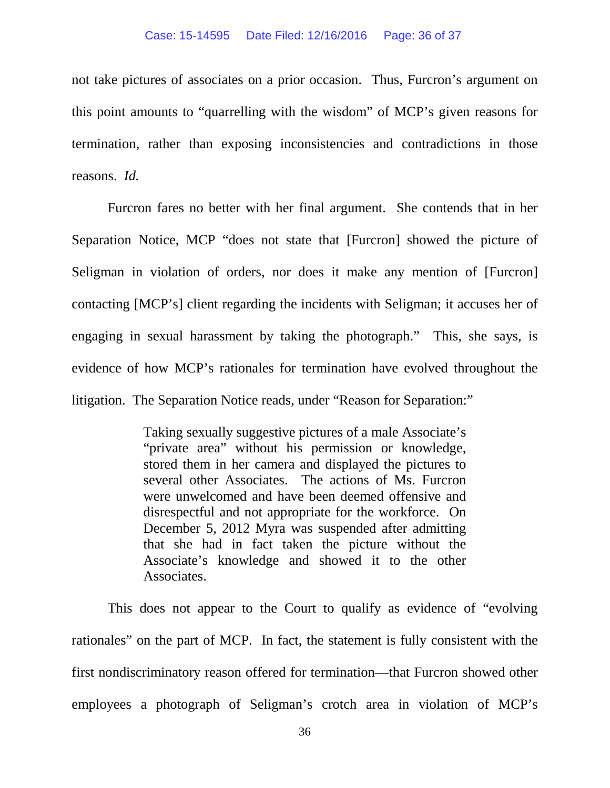not take pictures of associates on a prior occasion. Thus, Furcron's argument on this point amounts to "quarrelling with the wisdom" of MCP's given reasons for termination, rather than exposing inconsistencies and contradictions in those reasons. *Id.* 

Furcron fares no better with her final argument. She contends that in her Separation Notice, MCP "does not state that [Furcron] showed the picture of Seligman in violation of orders, nor does it make any mention of [Furcron] contacting [MCP's] client regarding the incidents with Seligman; it accuses her of engaging in sexual harassment by taking the photograph." This, she says, is evidence of how MCP's rationales for termination have evolved throughout the litigation. The Separation Notice reads, under "Reason for Separation:"

> Taking sexually suggestive pictures of a male Associate's "private area" without his permission or knowledge, stored them in her camera and displayed the pictures to several other Associates. The actions of Ms. Furcron were unwelcomed and have been deemed offensive and disrespectful and not appropriate for the workforce. On December 5, 2012 Myra was suspended after admitting that she had in fact taken the picture without the Associate's knowledge and showed it to the other Associates.

This does not appear to the Court to qualify as evidence of "evolving rationales" on the part of MCP. In fact, the statement is fully consistent with the first nondiscriminatory reason offered for termination—that Furcron showed other employees a photograph of Seligman's crotch area in violation of MCP's